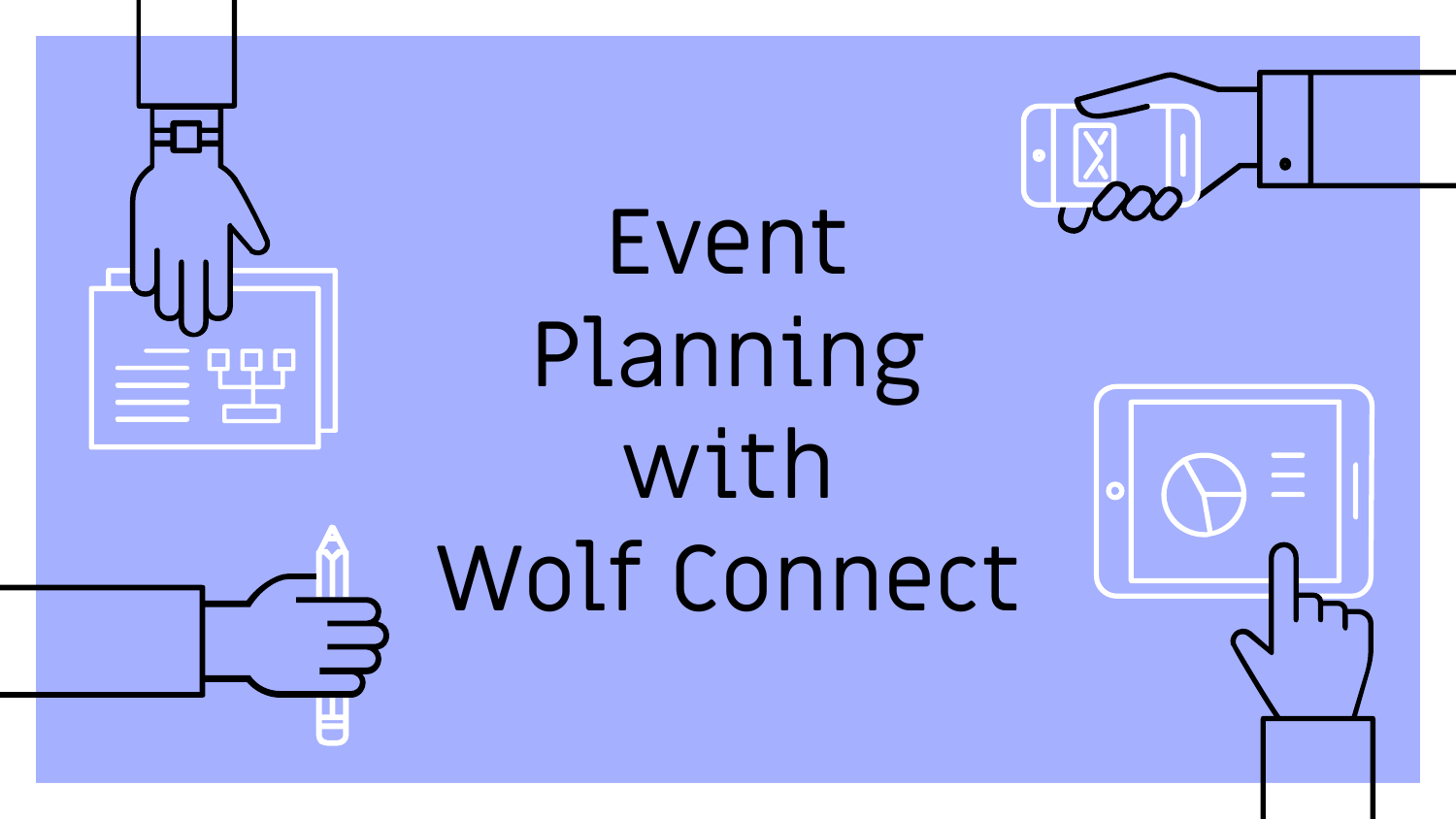

Event Planning with Wolf Connect



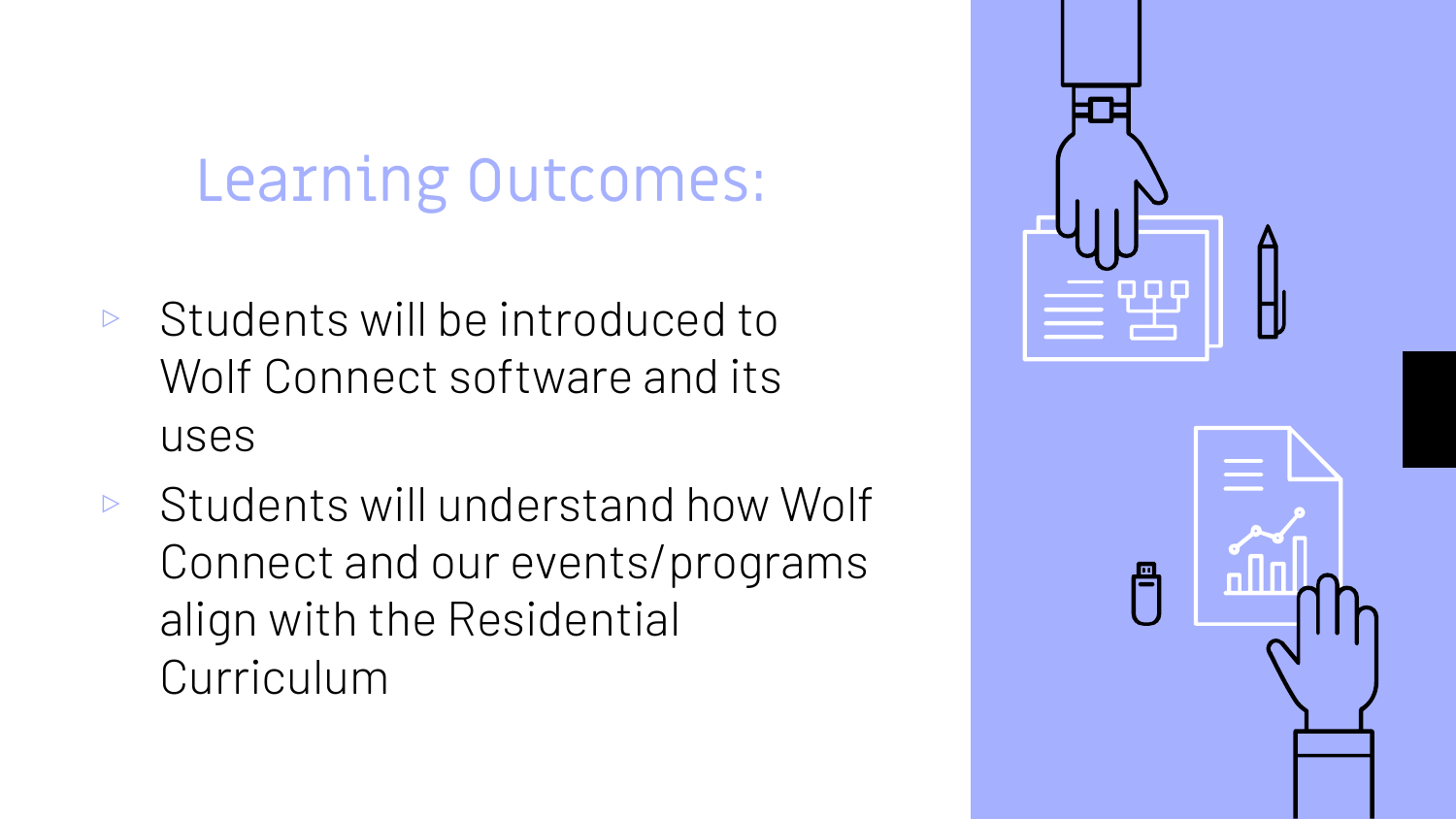### Learning Outcomes:

- $\triangleright$  Students will be introduced to Wolf Connect software and its uses
- ▹ Students will understand how Wolf Connect and our events/programs align with the Residential Curriculum

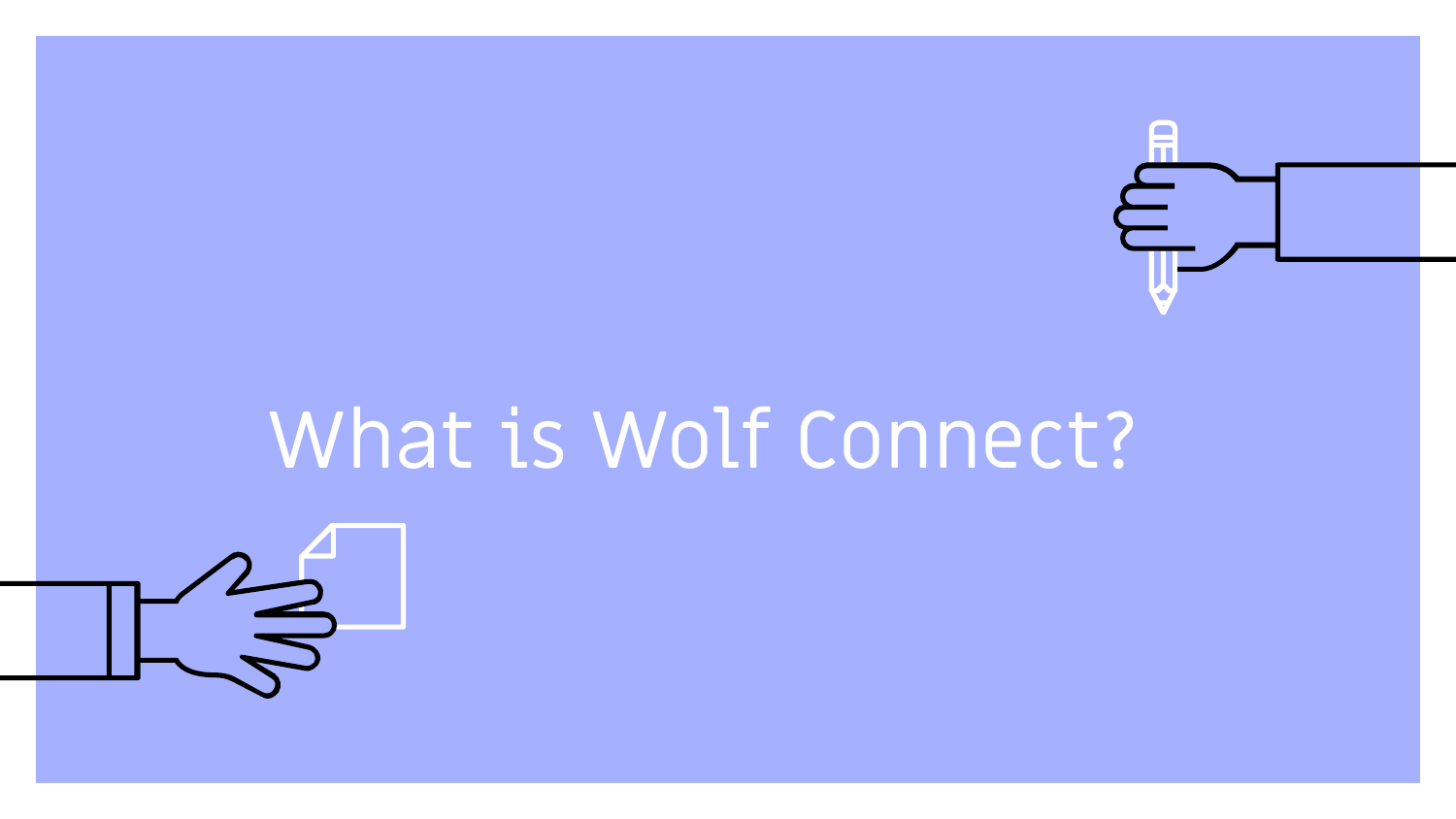

# What is Wolf Connect?

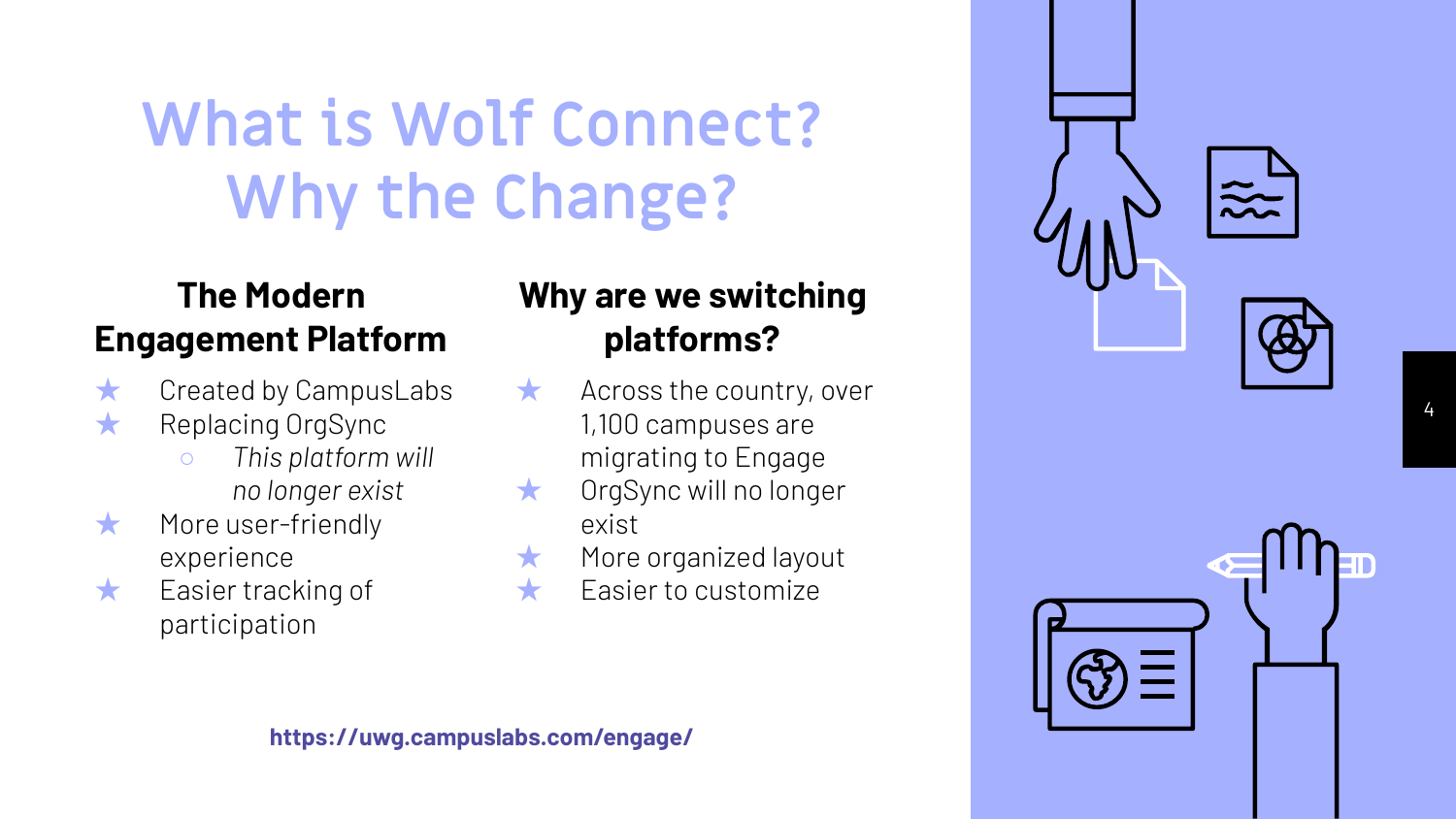### **What is Wolf Connect? Why the Change?**

### **The Modern Engagement Platform**

- $\star$  Created by CampusLabs
- ★ Replacing OrgSync
	- *○ This platform will no longer exist*
- ★ More user-friendly experience
- ★ Easier tracking of participation

### **Why are we switching platforms?**

- $\star$  Across the country, over 1,100 campuses are migrating to Engage
- ★ OrgSync will no longer exist
- ★ More organized layout
	- **Easier to customize**





**https://uwg.campuslabs.com/engage/**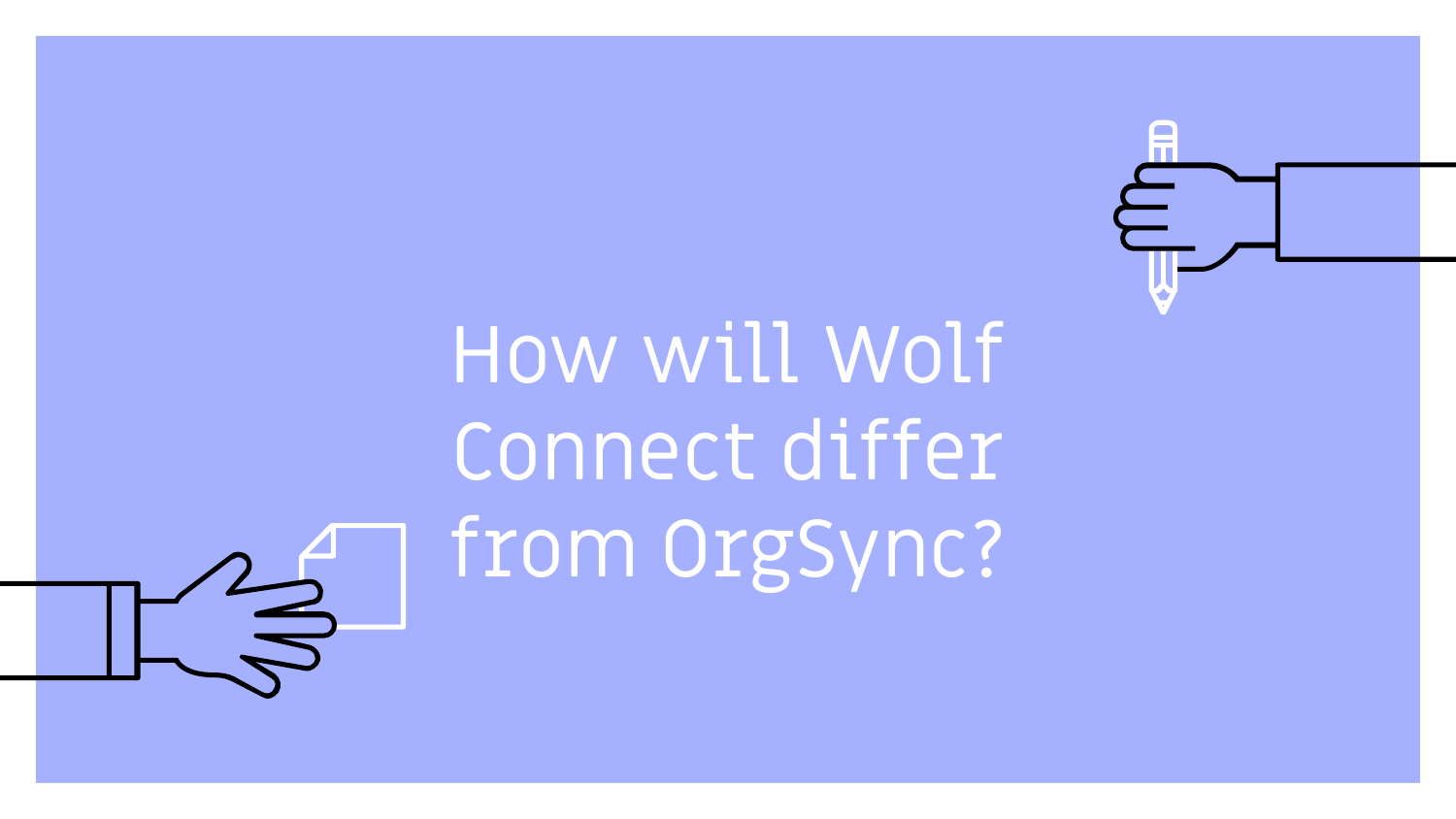# How will Wolf Connect differ from OrgSync?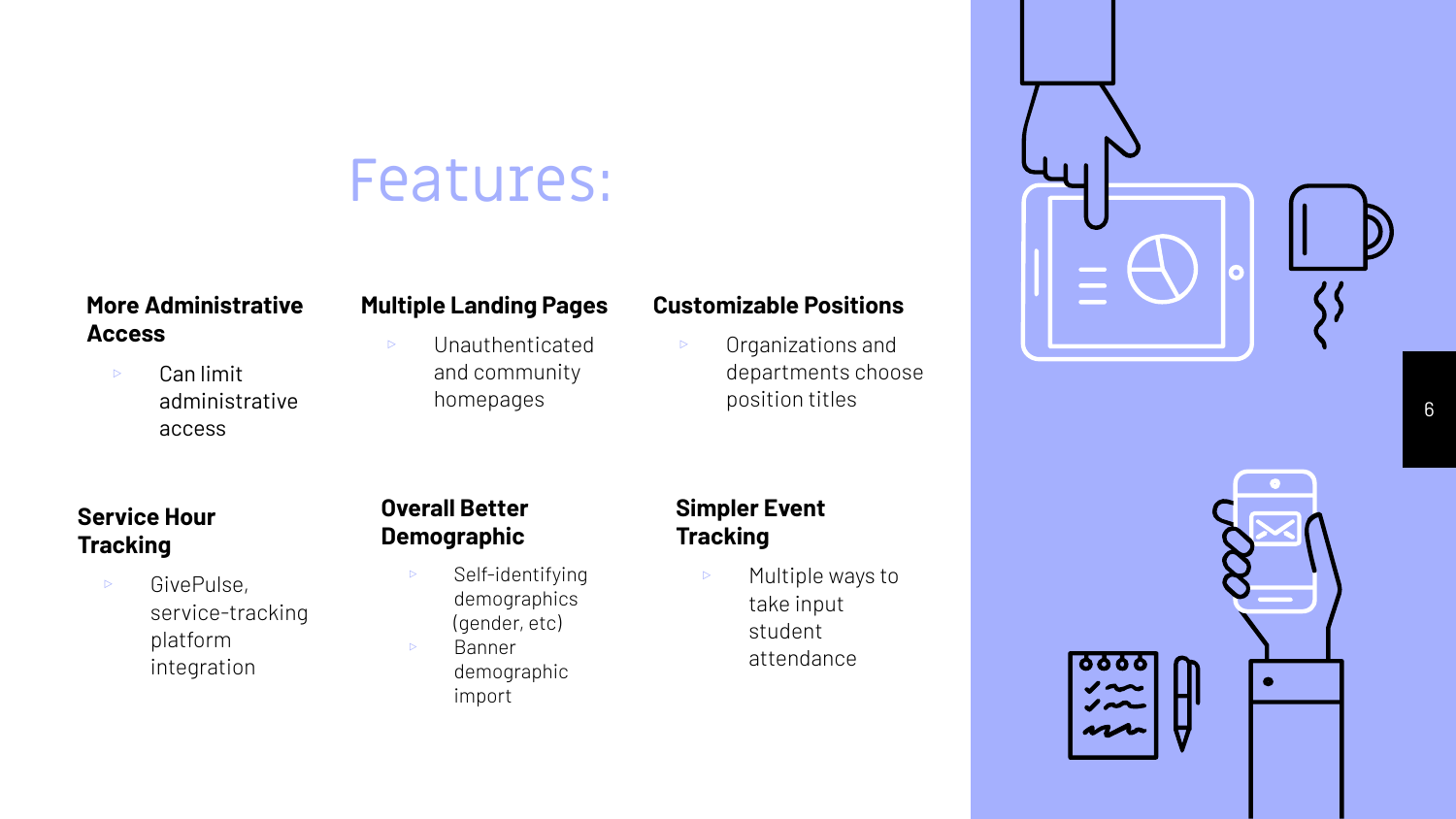### Features:

#### **More Administrative Access**

▹ Can limit administrative access

#### **Multiple Landing Pages**

▹ Unauthenticated and community homepages

#### **Customizable Positions**

▹ Organizations and departments choose position titles

#### **Service Hour Tracking**

▹ GivePulse, service-tracking platform integration

#### **Overall Better Demographic**

- ▹ Self-identifying demographics (gender, etc) ▹ Banner
	- demographic import

#### **Simpler Event Tracking**

▹ Multiple ways to take input student attendance



 $\bullet$ 

6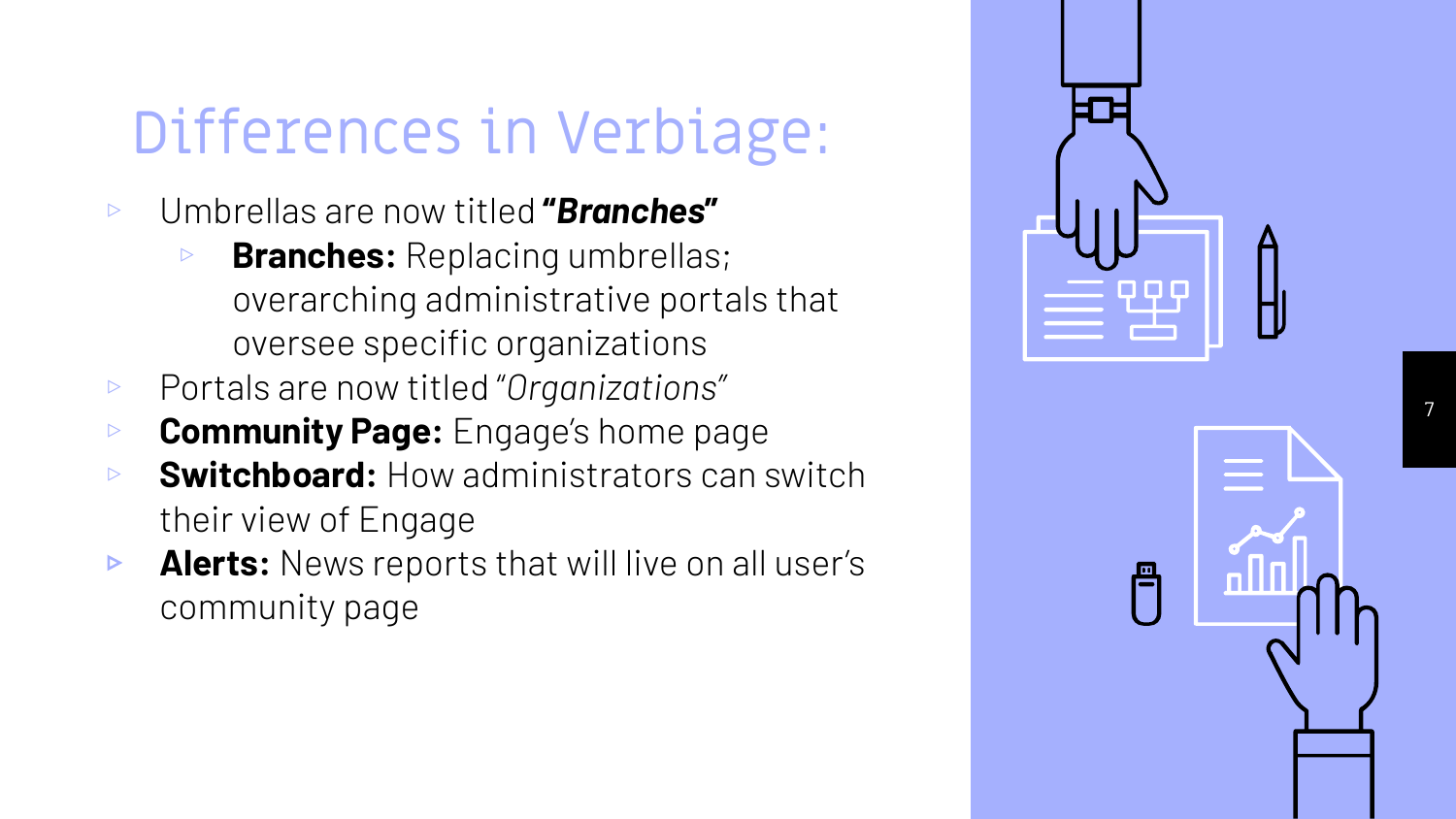### Differences in Verbiage:

- ▹ Umbrellas are now titled **"***Branches* **"**
	- ▹ **Branches:** Replacing umbrellas; overarching administrative portals that oversee specific organizations
- ▹ Portals are now titled "*Organizations"*
- ▹ **Community Page:** Engage's home page
- ▹ **Switchboard:** How administrators can switch their view of Engage
- ▹ **Alerts:** News reports that will live on all user's community page

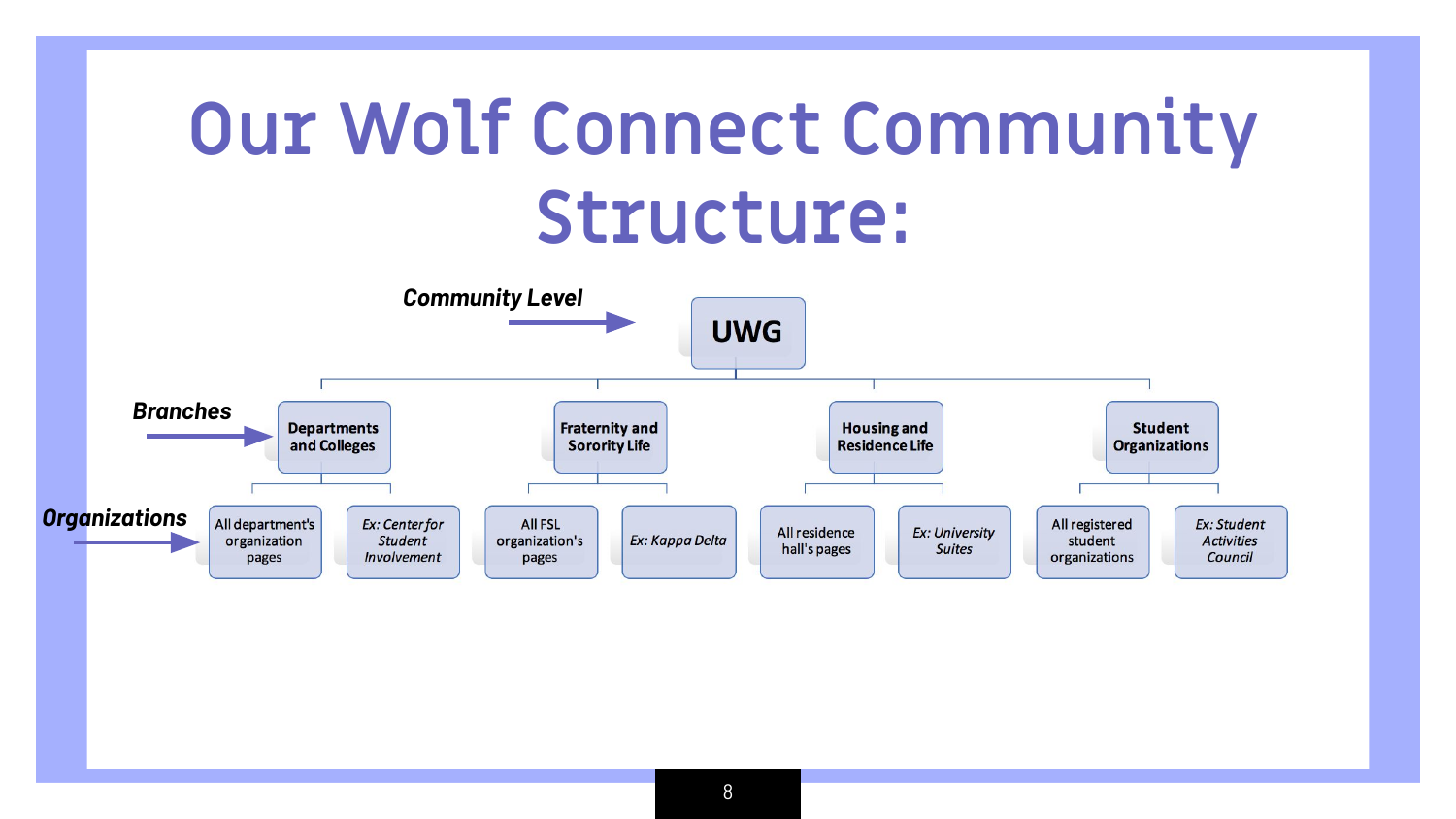# **Our Wolf Connect Community Structure:**

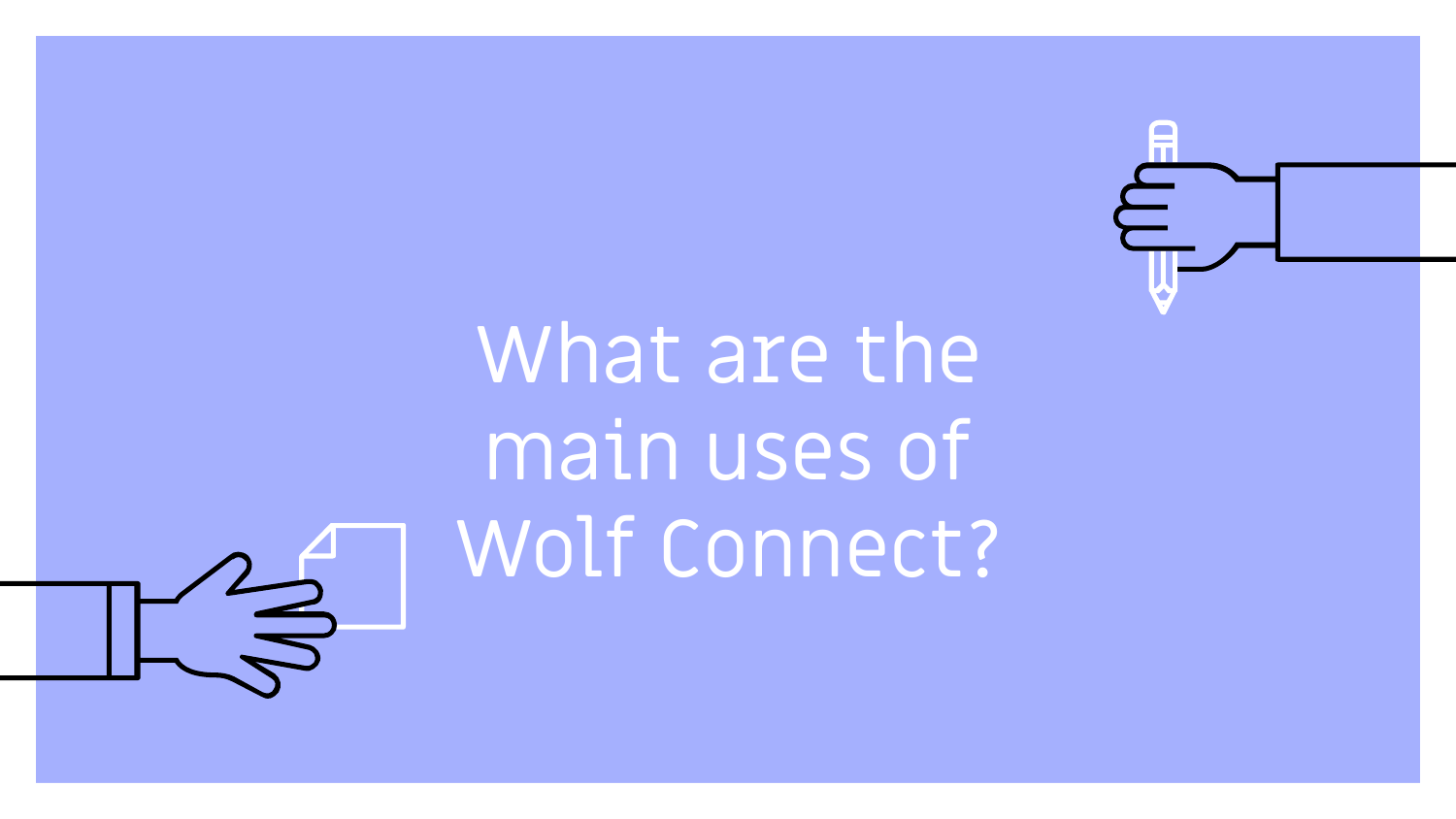

# What are the main uses of Wolf Connect?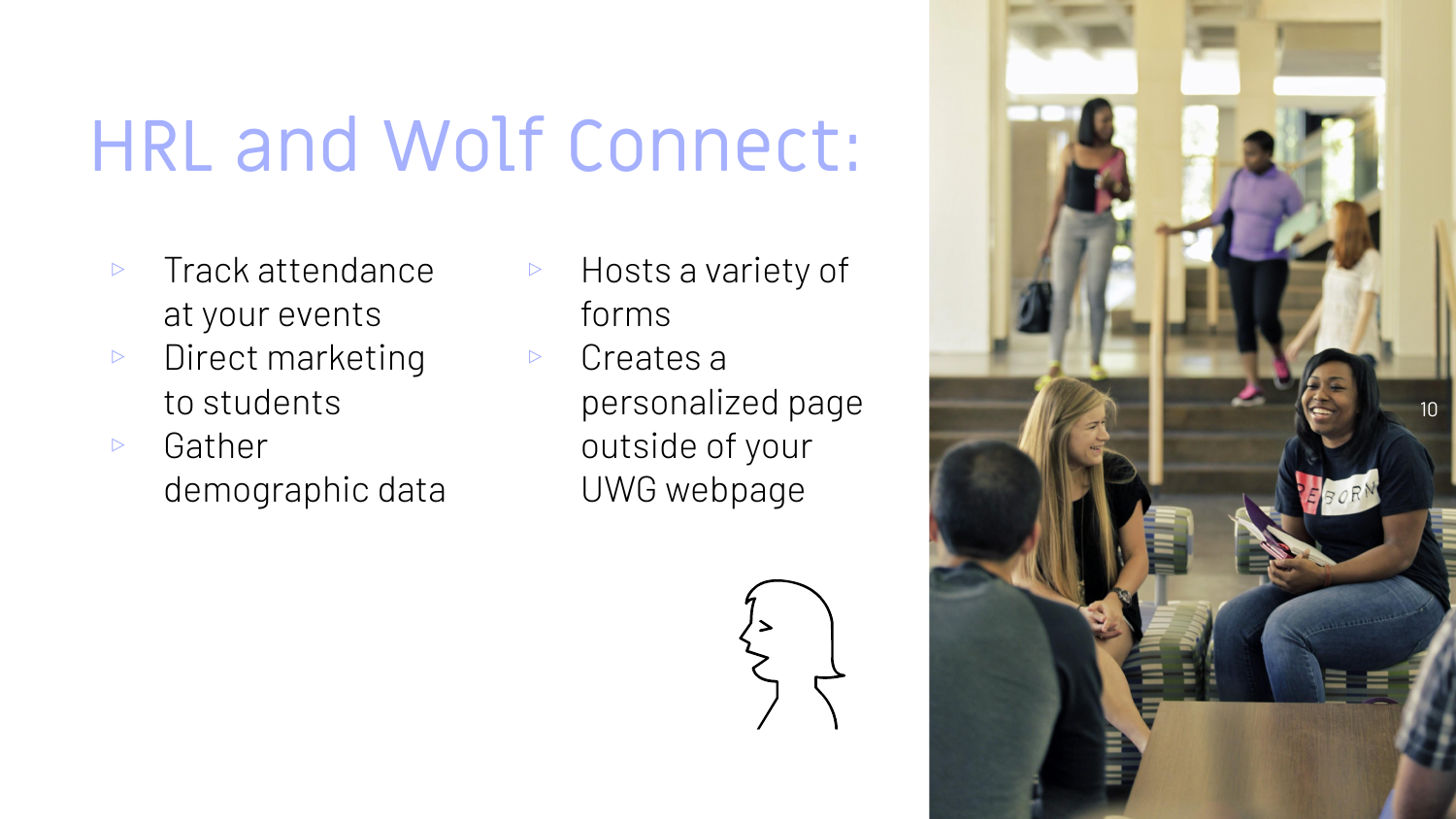# HRL and Wolf Connect:

- ▹ Track attendance at your events
- ▹ Direct marketing to students
- ▹ Gather demographic data
- ▹ Hosts a variety of forms
- ▹ Creates a personalized page outside of your UWG webpage



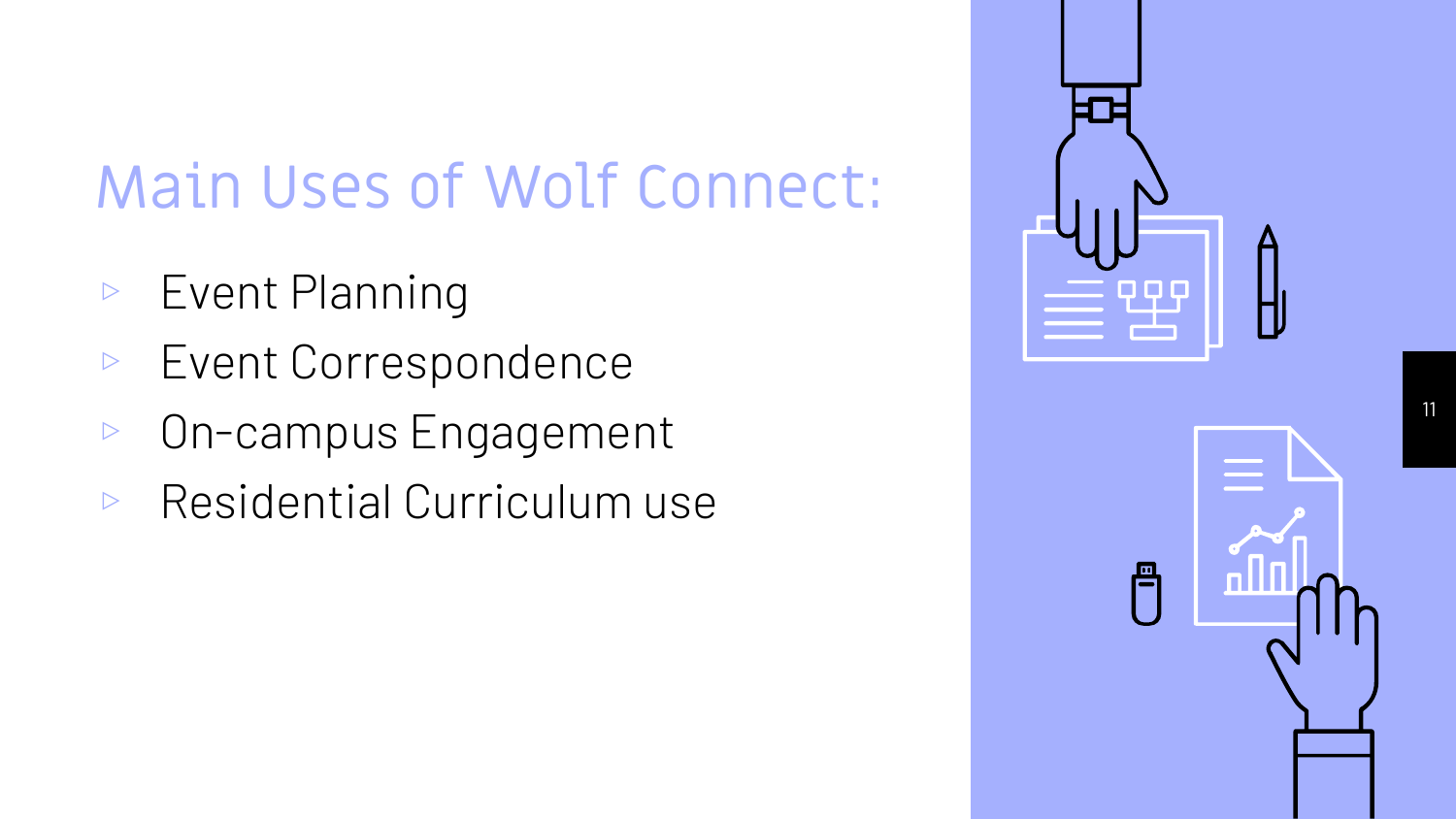### Main Uses of Wolf Connect:

- ▹ Event Planning
- ▹ Event Correspondence
- ▹ On-campus Engagement
- ▹ Residential Curriculum use

| Ĵ, | A<br>H |
|----|--------|
| Ë  |        |

11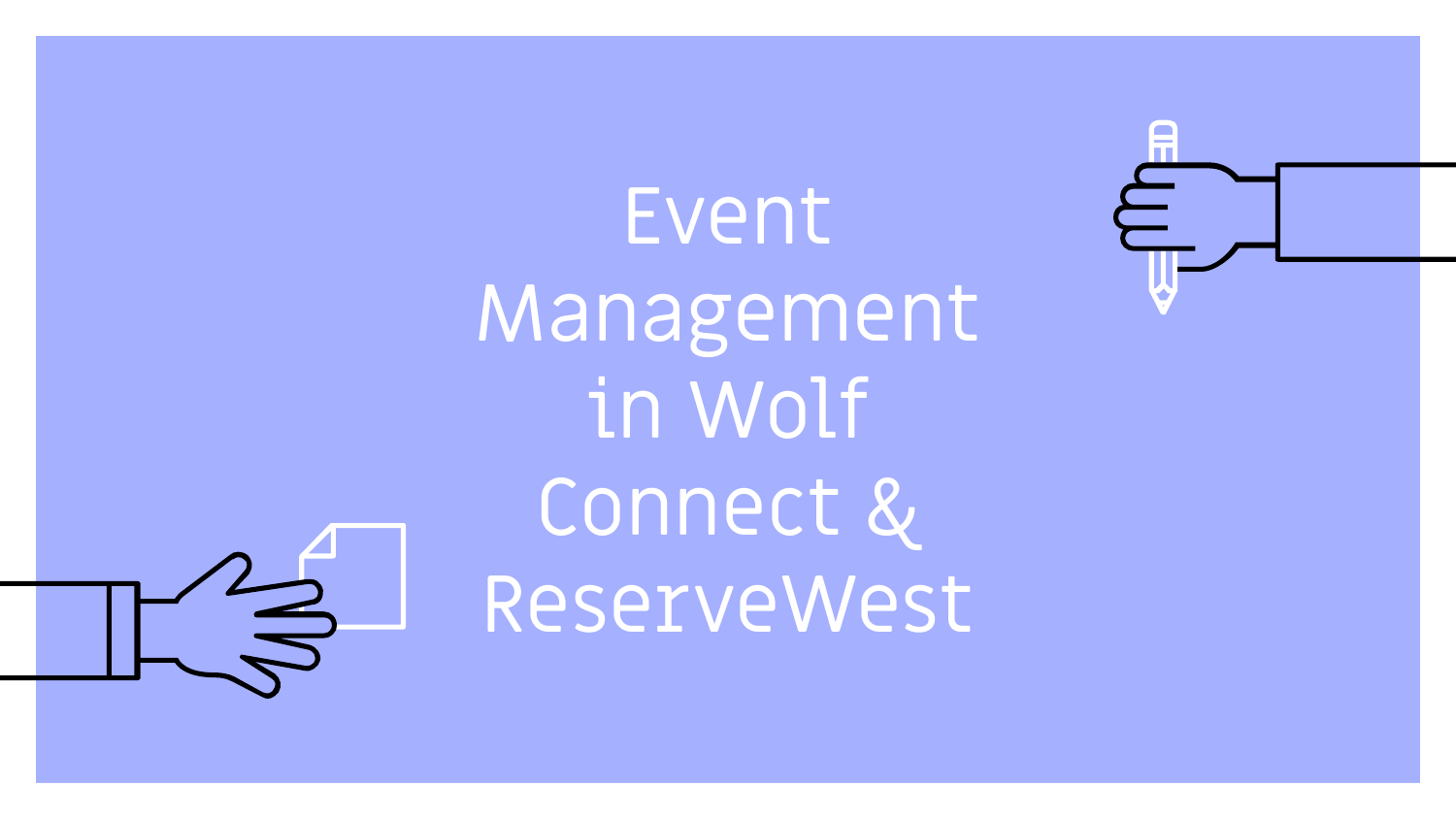Event Management in Wolf Connect & ReserveWest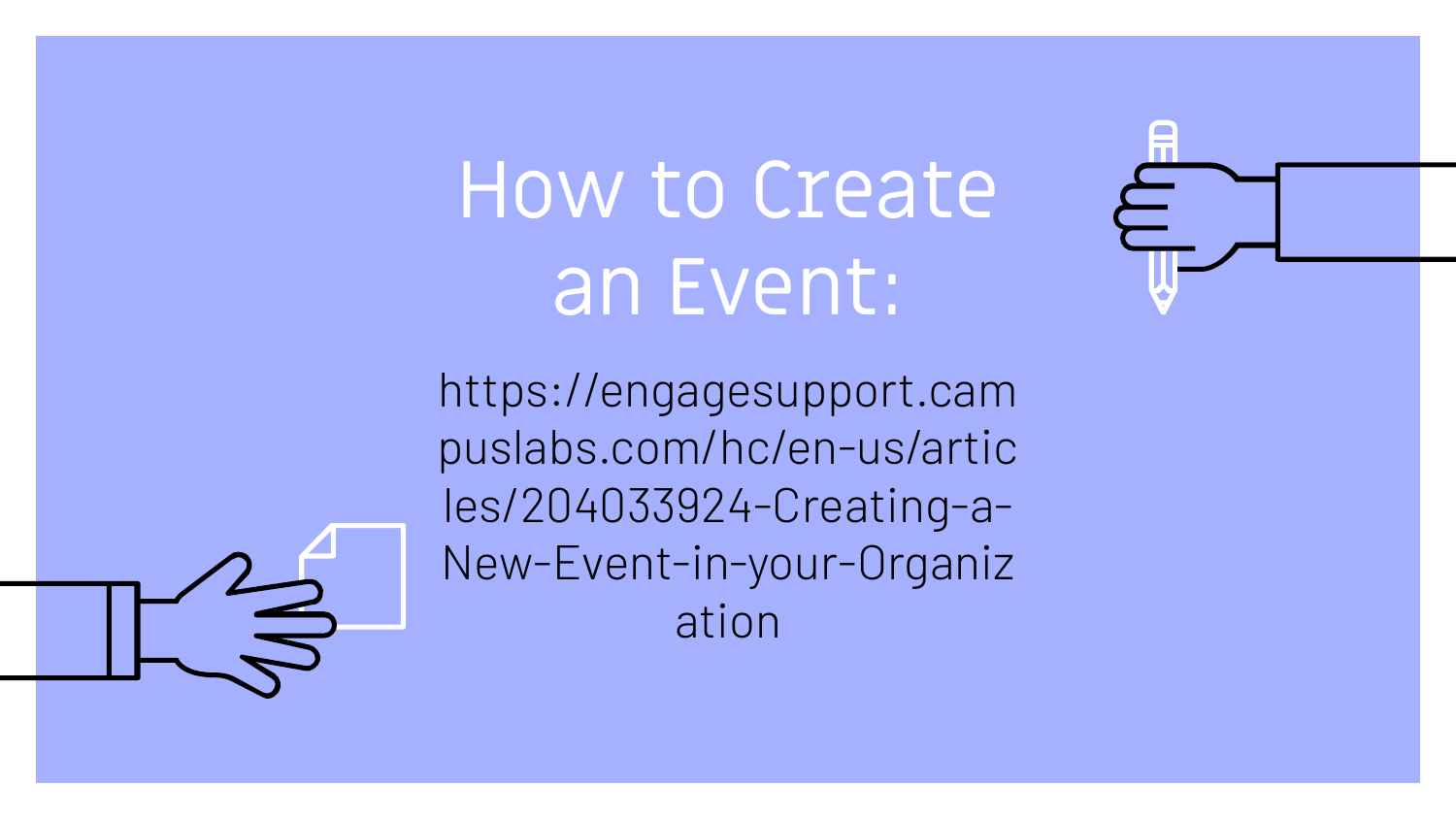# How to Create an Event:

https://engagesupport.cam puslabs.com/hc/en-us/artic les/204033924-Creating-a-New-Event-in-your-Organiz ation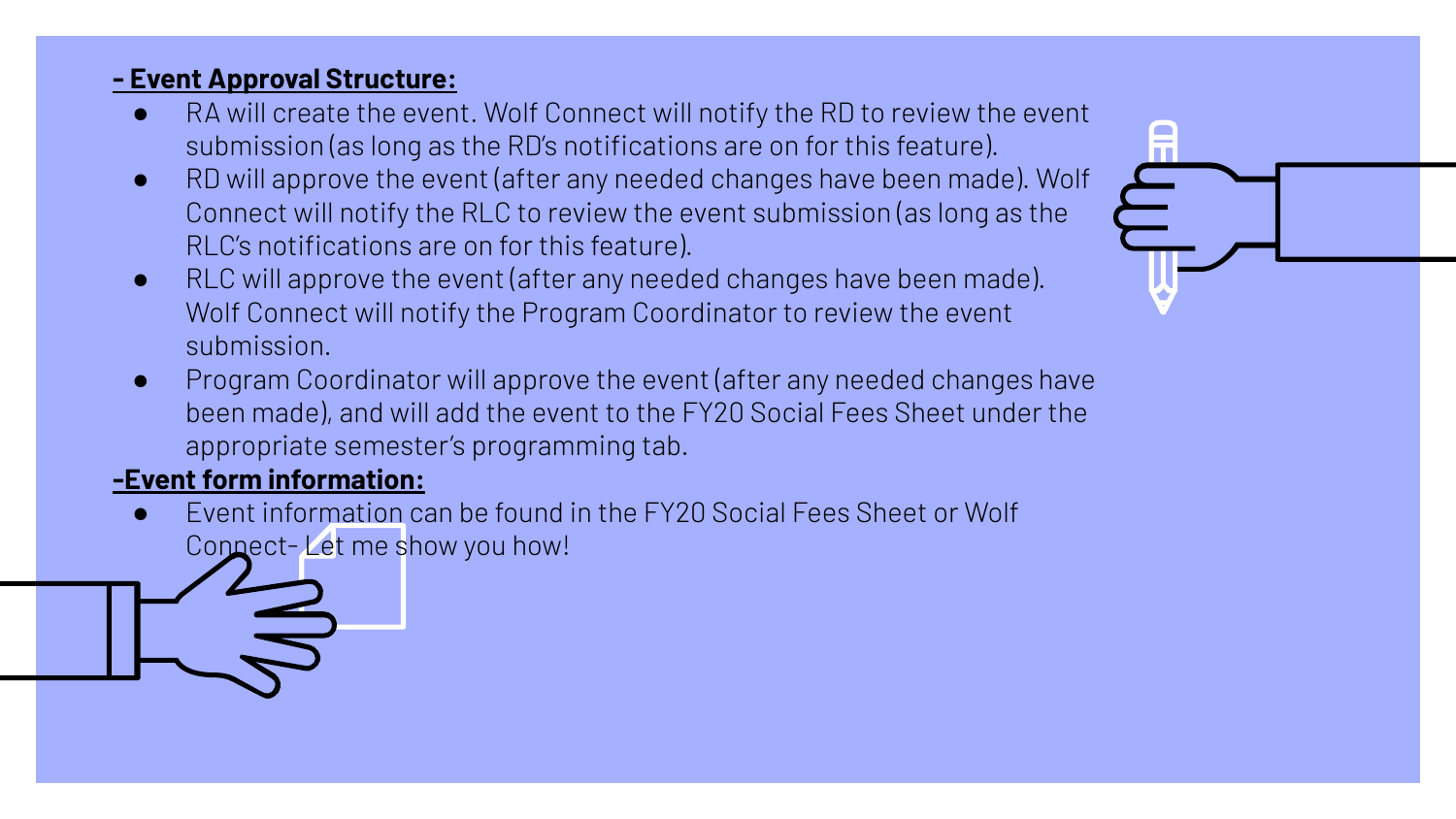### **- Event Approval Structure:**

- RA will create the event. Wolf Connect will notify the RD to review the event submission (as long as the RD's notifications are on for this feature).
- RD will approve the event (after any needed changes have been made). Wolf Connect will notify the RLC to review the event submission (as long as the RLC's notifications are on for this feature).
- RLC will approve the event (after any needed changes have been made). Wolf Connect will notify the Program Coordinator to review the event submission.
- Program Coordinator will approve the event (after any needed changes have been made), and will add the event to the FY20 Social Fees Sheet under the appropriate semester's programming tab.

### **-Event form information:**

Event information can be found in the FY20 Social Fees Sheet or Wolf Connect- Let me show you how!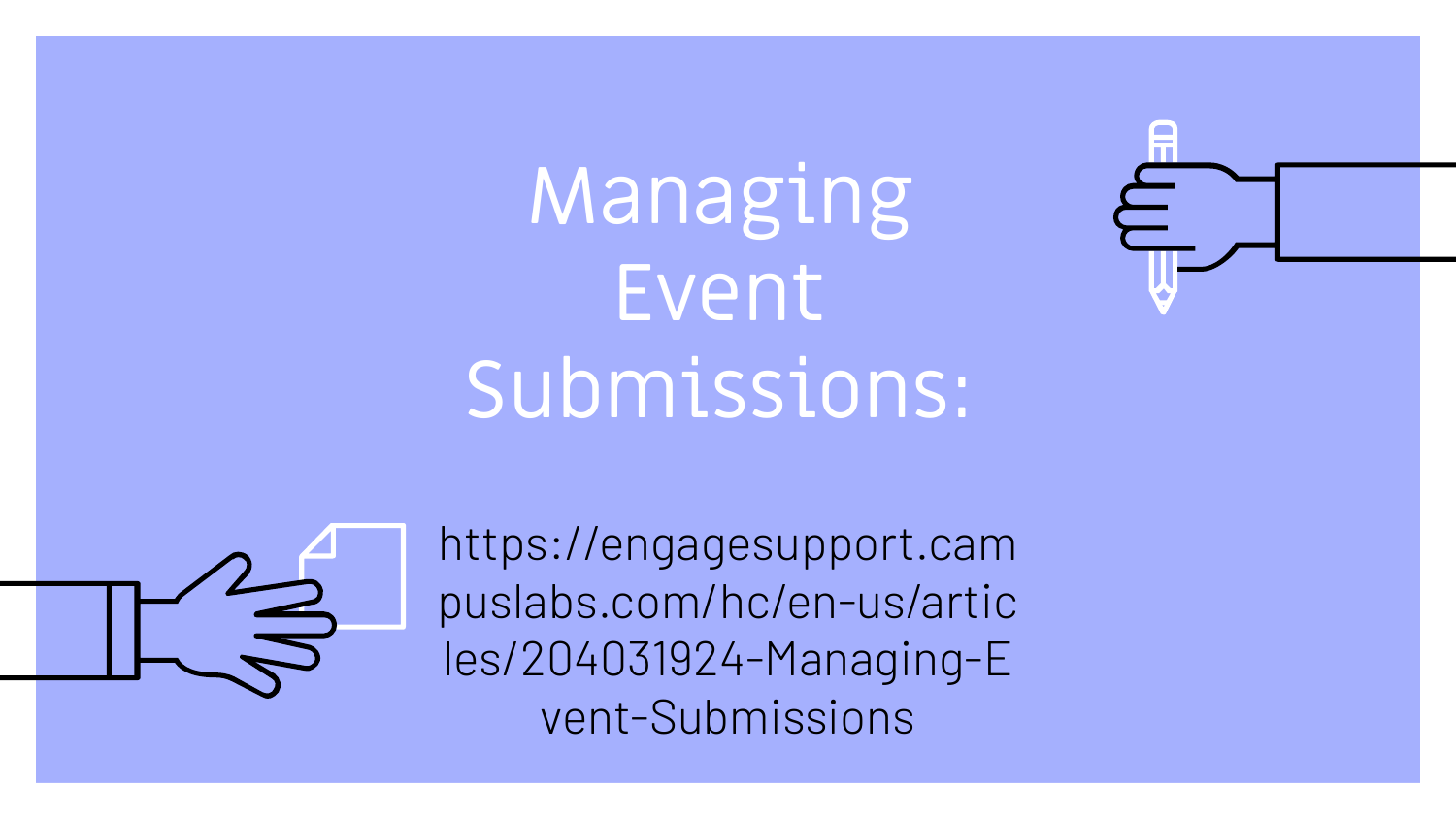Managing Event Submissions:





https://engagesupport.cam puslabs.com/hc/en-us/artic les/204031924-Managing-E vent-Submissions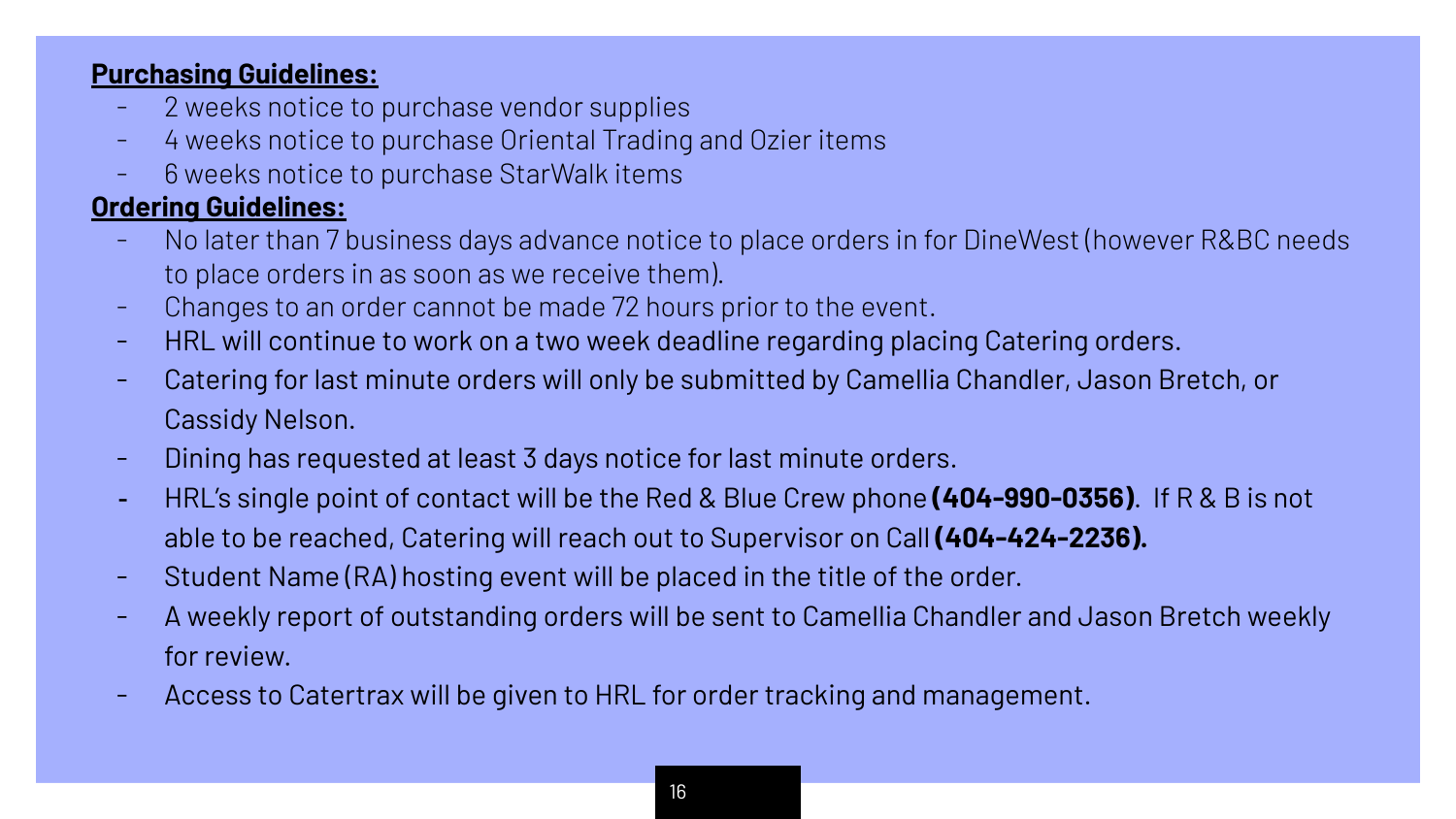### **Purchasing Guidelines:**

- 2 weeks notice to purchase vendor supplies
- 4 weeks notice to purchase Oriental Trading and Ozier items
- 6 weeks notice to purchase StarWalk items

### **Ordering Guidelines:**

- No later than 7 business days advance notice to place orders in for DineWest (however R&BC needs to place orders in as soon as we receive them).
- Changes to an order cannot be made 72 hours prior to the event.
- HRL will continue to work on a two week deadline regarding placing Catering orders.
- Catering for last minute orders will only be submitted by Camellia Chandler, Jason Bretch, or Cassidy Nelson.
- Dining has requested at least 3 days notice for last minute orders.
- HRL's single point of contact will be the Red & Blue Crew phone **(404-990-0356)**. If R & B is not able to be reached, Catering will reach out to Supervisor on Call **(404-424-2236).**
- Student Name (RA) hosting event will be placed in the title of the order.
- A weekly report of outstanding orders will be sent to Camellia Chandler and Jason Bretch weekly for review.
- Access to Catertrax will be given to HRL for order tracking and management.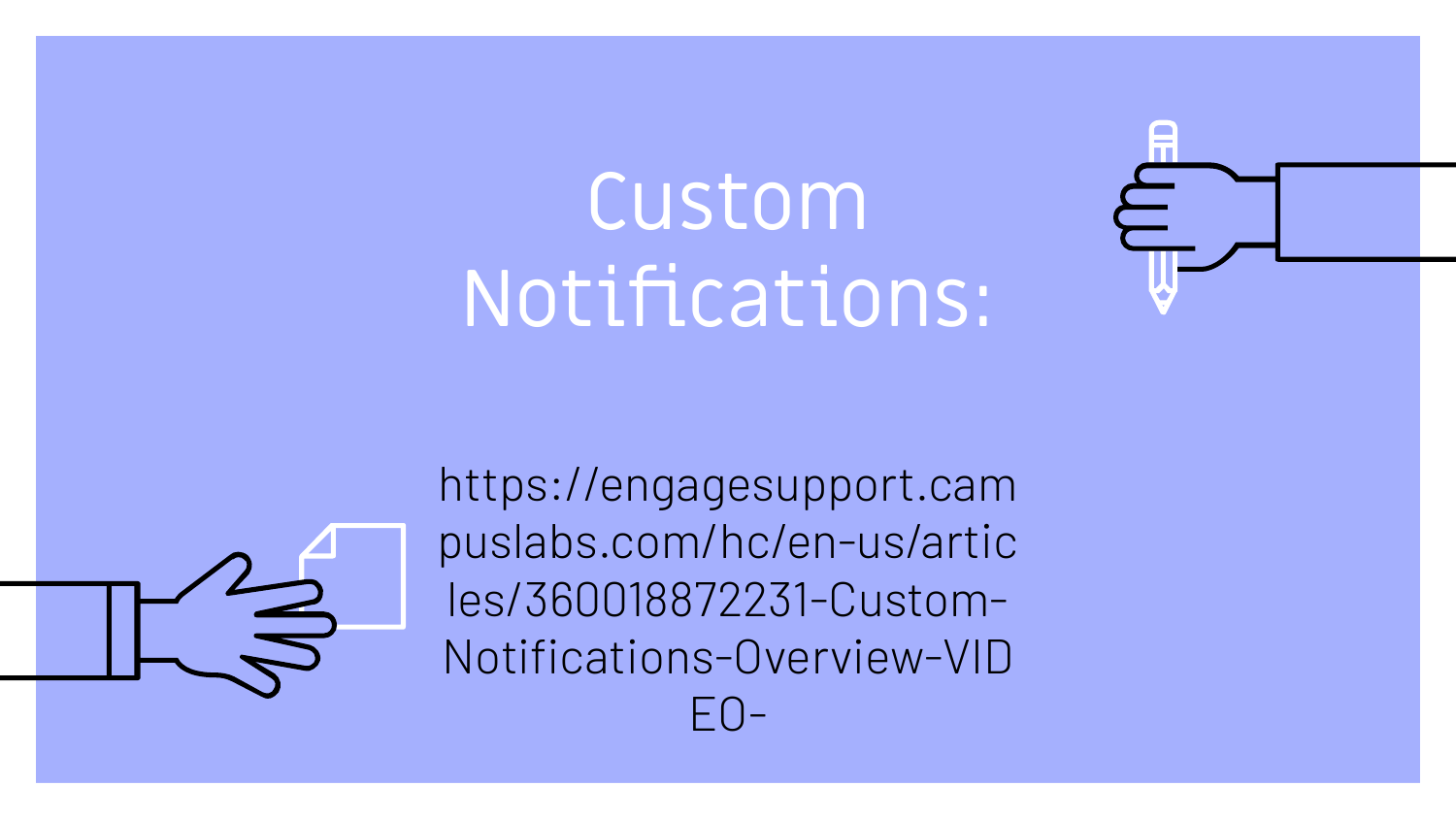# Custom Notifications:





https://engagesupport.cam puslabs.com/hc/en-us/artic les/360018872231-Custom-Notifications-Overview-VID  $F()$ -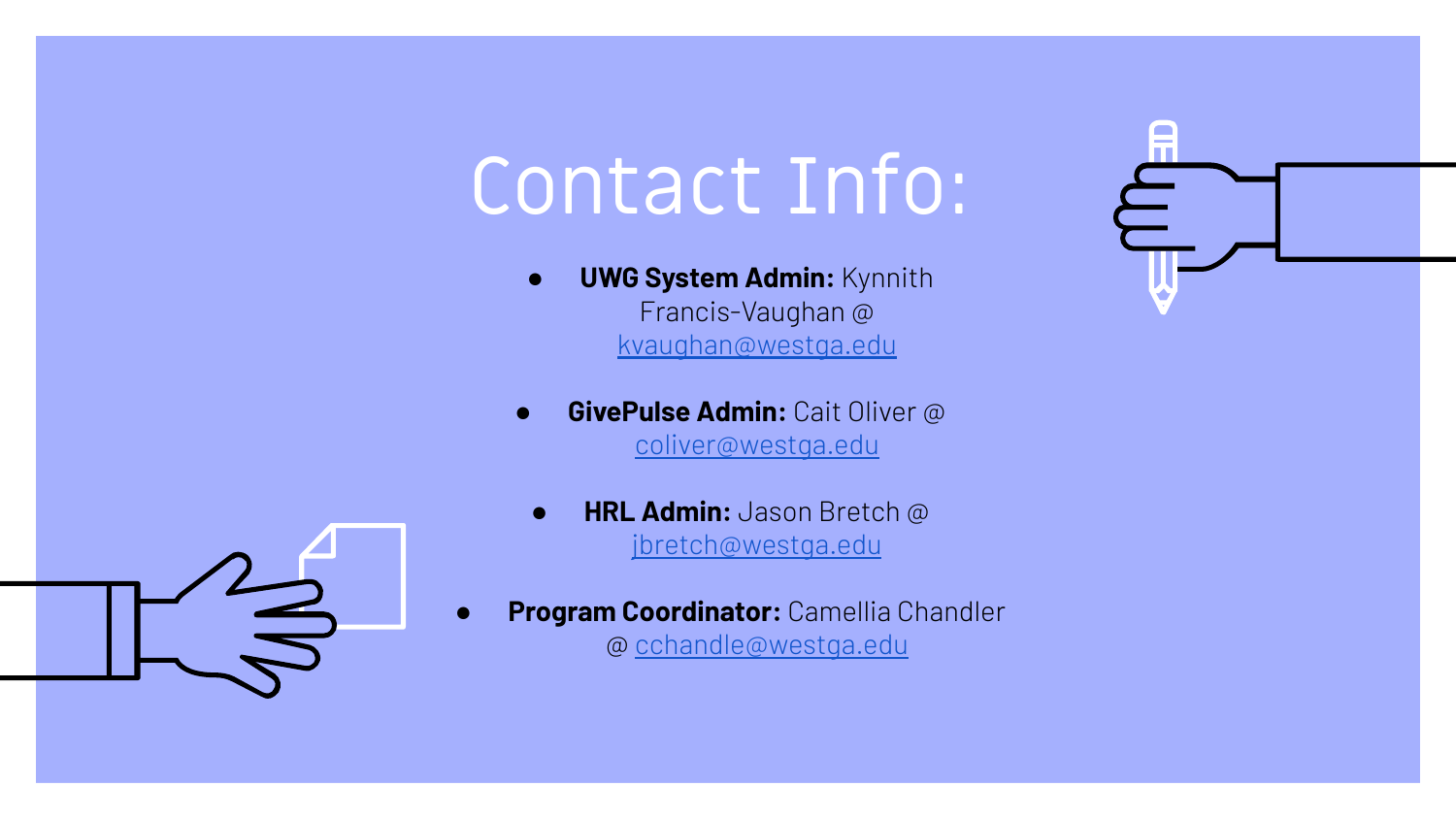# Contact Info:

- **UWG System Admin:** Kynnith Francis-Vaughan @ [kvaughan@westga.edu](mailto:kvaughan@westga.edu)
- **GivePulse Admin:** Cait Oliver @ [coliver@westga.edu](mailto:coliver@westga.edu)
	- **HRL Admin:** Jason Bretch @ [jbretch@westga.edu](mailto:jbretch@westga.edu)
- **Program Coordinator:** Camellia Chandler @ [cchandle@westga.edu](mailto:cchandle@westga.edu)